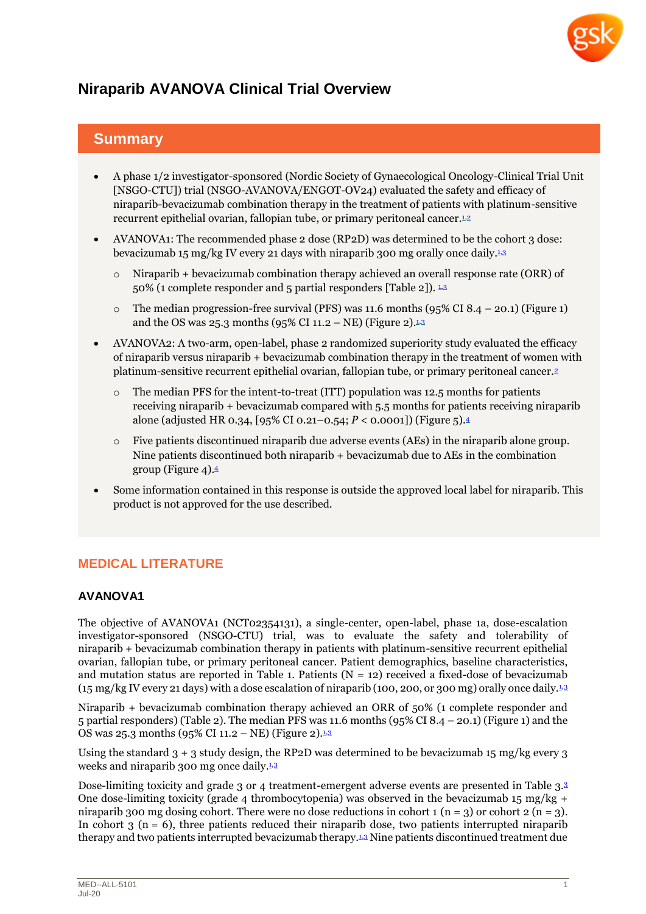

# **Niraparib AVANOVA Clinical Trial Overview**

## **Summary**

- A phase 1/2 investigator-sponsored (Nordic Society of Gynaecological Oncology-Clinical Trial Unit [NSGO-CTU]) trial (NSGO-AVANOVA/ENGOT-OV24) evaluated the safety and efficacy of niraparib-bevacizumab combination therapy in the treatment of patients with platinum-sensitive recurrent epithelial ovarian, fallopian tube, or primary peritoneal cancer.[1,](#page-2-0)[2](#page-2-1)2
- AVANOVA1: The recommended phase 2 dose (RP2D) was determined to be the cohort 3 dose: bevacizumab 15 mg/kg IV every 21 days with niraparib [3](#page-2-2)00 mg orally once daily.1.3
	- Niraparib + bevacizumab combination therapy achieved an overall response rate (ORR) of 50% (1 complete responder and 5 partial responders [Table 2]). 15[3](#page-2-2)
	- o The median progression-free survival (PFS) was 11.6 months (95% CI 8.4 20.1) (Figure 1) and the OS was 25.3 months (95% CI 11.2 – NE) (Figure 2).<sup>[1,](#page-2-0)[3](#page-2-2)</sup>
- AVANOVA2: A two-arm, open-label, phase 2 randomized superiority study evaluated the efficacy of niraparib versus niraparib + bevacizumab combination therapy in the treatment of women with platinum-sensitive recurrent epithelial ovarian, fallopian tube, or primary peritoneal cancer.[2](#page-2-1)
	- The median PFS for the intent-to-treat (ITT) population was 12.5 months for patients receiving niraparib *+* bevacizumab compared with 5.5 months for patients receiving niraparib alone (adjusted HR 0.34, [95% CI 0.21–0.54; *P* < 0.0001]) (Figure 5)[.](#page-2-3) 4
	- $\circ$  Five patients discontinued niraparib due adverse events (AEs) in the niraparib alone group. Nine patients discontinued both niraparib *+* bevacizumab due to AEs in the combination group (Figure 4). [4](#page-2-3)
- Some information contained in this response is outside the approved local label for niraparib. This product is not approved for the use described.

## **MEDICAL LITERATURE**

### **AVANOVA1**

The objective of AVANOVA1 (NCT02354131), a single-center, open-label, phase 1a, dose-escalation investigator-sponsored (NSGO-CTU) trial, was to evaluate the safety and tolerability of niraparib + bevacizumab combination therapy in patients with platinum-sensitive recurrent epithelial ovarian, fallopian tube, or primary peritoneal cancer. Patient demographics, baseline characteristics, and mutation status are reported in Table 1. Patients  $(N = 12)$  received a fixed-dose of bevacizumab (15 mg/kg IV every 21 days) with a dose escalation of niraparib (100, 200, or 300 mg) orally once daily.[1,](#page-2-0)[3](#page-2-2)

Niraparib + bevacizumab combination therapy achieved an ORR of 50% (1 complete responder and 5 partial responders) (Table 2). The median PFS was 11.6 months (95% CI 8.4 – 20.1) (Figure 1) and the OS was 25.3 months (95% CI 11.2 – NE) (Figure 2).<sup>[1,](#page-2-0)[3](#page-2-2)</sup>

Using the standard 3 + 3 study design, the RP2D was determined to be bevacizumab 15 mg/kg every 3 weeks and niraparib 300 mg once daily.<sup>[1,](#page-2-0)[3](#page-2-2)</sup>

Dose-limiting toxicity and grade 3 or 4 treatment-emergent adverse events are presented in Table 3.[3](#page-2-2) One dose-limiting toxicity (grade 4 thrombocytopenia) was observed in the bevacizumab 15 mg/kg + niraparib 300 mg dosing cohort. There were no dose reductions in cohort 1 (n = 3) or cohort 2 (n = 3). In cohort  $3$  (n = 6), three patients reduced their niraparib dose, two patients interrupted niraparib therapy and two patients interrupted bevacizumab therapy.[1,](#page-2-0)[3](#page-2-2) Nine patients discontinued treatment due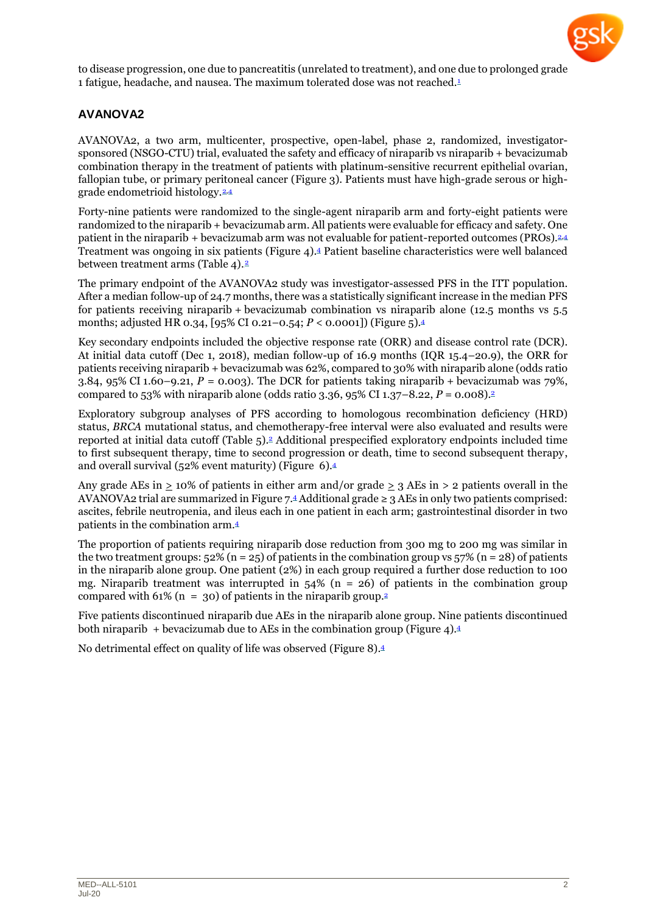

to disease progression, one due to pancreatitis (unrelated to treatment), and one due to prolonged grade 1 fatigue, headache, and nausea. The maximum tolerated dose was not reached[.](#page-2-0)<sup>1</sup>

## **AVANOVA2**

AVANOVA2, a two arm, multicenter, prospective, open-label, phase 2, randomized, investigatorsponsored (NSGO-CTU) trial, evaluated the safety and efficacy of niraparib vs niraparib + bevacizumab combination therapy in the treatment of patients with platinum-sensitive recurrent epithelial ovarian, fallopian tube, or primary peritoneal cancer (Figure 3). Patients must have high-grade serous or high-grade endometrioid histology.<sup>[2,](#page-2-1)[4](#page-2-3)</sup>

Forty-nine patients were randomized to the single-agent niraparib arm and forty-eight patients were randomized to the niraparib + bevacizumab arm. All patients were evaluable for efficacy and safety. One patient in the niraparib + bevacizumab arm was not evaluable for patient-reported outcomes (PROs). $\frac{2.4}{4}$  $\frac{2.4}{4}$  $\frac{2.4}{4}$ Treatment was ongoing in six patients (Figure 4). [4](#page-2-3) Patient baseline characteristics were well balanced between treatment arms (Table 4).<sup>[2](#page-2-1)</sup>

The primary endpoint of the AVANOVA2 study was investigator-assessed PFS in the ITT population. After a median follow-up of 24.7 months, there was a statistically significant increase in the median PFS for patients receiving niraparib + bevacizumab combination vs niraparib alone (12.5 months vs 5.5 months; adjusted HR 0.34, [95% CI 0.21–0.54; *P* < 0.0001]) (Figure 5).[4](#page-2-3)

Key secondary endpoints included the objective response rate (ORR) and disease control rate (DCR). At initial data cutoff (Dec 1, 2018), median follow-up of 16.9 months (IQR 15.4–20.9), the ORR for patients receiving niraparib + bevacizumab was 62%, compared to 30% with niraparib alone (odds ratio 3.84, 95% CI 1.60–9.21,  $P = 0.003$ ). The DCR for patients taking niraparib + bevacizumab was 79%, compared to 53% with niraparib alone (odds ratio 3.36, 95% CI 1.37–8.22, *P =* 0.008)[.](#page-2-1)<sup>2</sup>

Exploratory subgroup analyses of PFS according to homologous recombination deficiency (HRD) status, *BRCA* mutational status, and chemotherapy-free interval were also evaluated and results were reported at initial data cutoff (Table 5).<sup>[2](#page-2-1)</sup> Additional prespecified exploratory endpoints included time to first subsequent therapy, time to second progression or death, time to second subsequent therapy, and overall survival (52% event maturity) (Figure 6)[.](#page-2-3)<sup>4</sup>

Any grade AEs in  $\geq$  10% of patients in either arm and/or grade  $\geq$  3 AEs in  $>$  2 patients overall in the AVANOVA2 trial are summarized in Figure 7. [4](#page-2-3) Additional grade ≥ 3 AEs in only two patients comprised: ascites, febrile neutropenia, and ileus each in one patient in each arm; gastrointestinal disorder in two patients in the combination arm.[4](#page-2-3)

The proportion of patients requiring niraparib dose reduction from 300 mg to 200 mg was similar in the two treatment groups:  $52\%$  (n = 25) of patients in the combination group vs  $57\%$  (n = 28) of patients in the niraparib alone group. One patient (2%) in each group required a further dose reduction to 100 mg. Niraparib treatment was interrupted in  $54\%$  (n = 26) of patients in the combination group compared with 61% (n = 30) of patients in the niraparib group.<sup>[2](#page-2-1)</sup>

Five patients discontinued niraparib due AEs in the niraparib alone group. Nine patients discontinued both niraparib *+* bevacizumab due to AEs in the combination group (Figure 4).[4](#page-2-3)

No detrimental effect on quality of life was observed (Figure 8).[4](#page-2-3)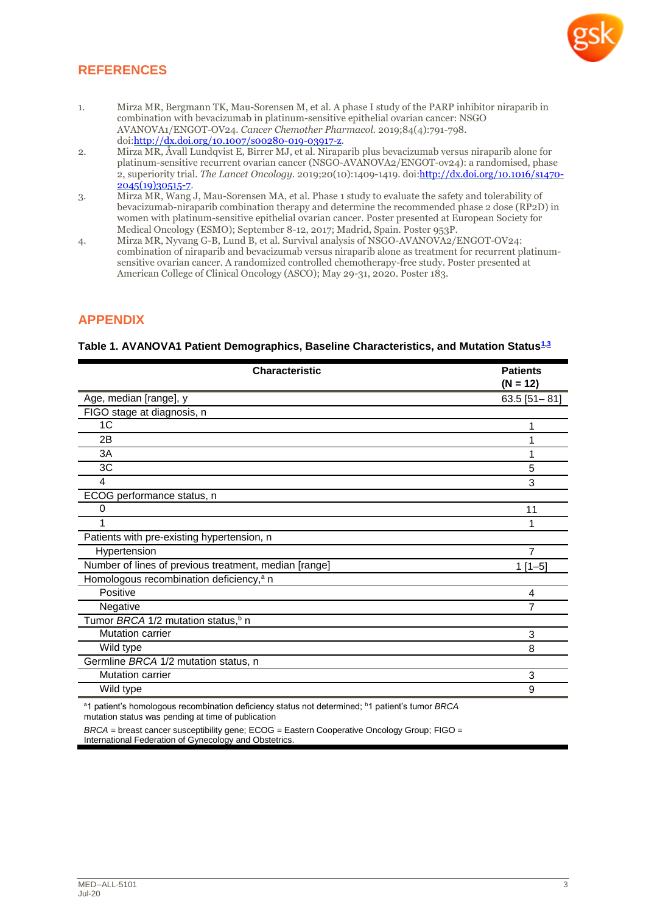## **REFERENCES**

- <span id="page-2-0"></span>1. Mirza MR, Bergmann TK, Mau-Sorensen M, et al. A phase I study of the PARP inhibitor niraparib in combination with bevacizumab in platinum-sensitive epithelial ovarian cancer: NSGO AVANOVA1/ENGOT-OV24. *Cancer Chemother Pharmacol.* 2019;84(4):791-798. doi[:http://dx.doi.org/10.1007/s00280-019-03917-z.](http://dx.doi.org/10.1007/s00280-019-03917-z)
- <span id="page-2-1"></span>2. Mirza MR, Åvall Lundqvist E, Birrer MJ, et al. Niraparib plus bevacizumab versus niraparib alone for platinum-sensitive recurrent ovarian cancer (NSGO-AVANOVA2/ENGOT-ov24): a randomised, phase 2, superiority trial. *The Lancet Oncology.* 2019;20(10):1409-1419. doi:[http://dx.doi.org/10.1016/s1470-](http://dx.doi.org/10.1016/s1470-2045(19)30515-7) [2045\(19\)30515-7.](http://dx.doi.org/10.1016/s1470-2045(19)30515-7)
- <span id="page-2-2"></span>3. Mirza MR, Wang J, Mau-Sorensen MA, et al. Phase 1 study to evaluate the safety and tolerability of bevacizumab-niraparib combination therapy and determine the recommended phase 2 dose (RP2D) in women with platinum-sensitive epithelial ovarian cancer. Poster presented at European Society for Medical Oncology (ESMO); September 8-12, 2017; Madrid, Spain. Poster 953P.
- <span id="page-2-3"></span>4. Mirza MR, Nyvang G-B, Lund B, et al. Survival analysis of NSGO-AVANOVA2/ENGOT-OV24: combination of niraparib and bevacizumab versus niraparib alone as treatment for recurrent platinumsensitive ovarian cancer. A randomized controlled chemotherapy-free study. Poster presented at American College of Clinical Oncology (ASCO); May 29-31, 2020. Poster 183.

## **APPENDIX**

#### **Table 1. AVANOVA1 Patient Demographics, Baseline Characteristics, and Mutation Status[1,](#page-2-0)[3](#page-2-2)**

| $(N = 12)$<br>Age, median [range], y<br>FIGO stage at diagnosis, n<br>1C | $63.5$ [51-81] |
|--------------------------------------------------------------------------|----------------|
|                                                                          |                |
|                                                                          |                |
|                                                                          |                |
|                                                                          |                |
| 2B                                                                       |                |
| 3A                                                                       |                |
| 3C                                                                       | 5              |
| 4                                                                        | 3              |
| ECOG performance status, n                                               |                |
| Ω                                                                        | 11             |
|                                                                          |                |
| Patients with pre-existing hypertension, n                               |                |
| Hypertension                                                             | 7              |
| Number of lines of previous treatment, median [range]                    | $1[1-5]$       |
| Homologous recombination deficiency, <sup>a</sup> n                      |                |
| Positive                                                                 | 4              |
| Negative                                                                 | 7              |
| Tumor BRCA 1/2 mutation status, <sup>b</sup> n                           |                |
| <b>Mutation carrier</b>                                                  | 3              |
| Wild type                                                                | 8              |
| Germline BRCA 1/2 mutation status, n                                     |                |
| Mutation carrier                                                         | 3              |
| Wild type                                                                | 9              |

<sup>a</sup>1 patient's homologous recombination deficiency status not determined; <sup>b</sup>1 patient's tumor *BRCA* mutation status was pending at time of publication

*BRCA* = breast cancer susceptibility gene; ECOG = Eastern Cooperative Oncology Group; FIGO = International Federation of Gynecology and Obstetrics.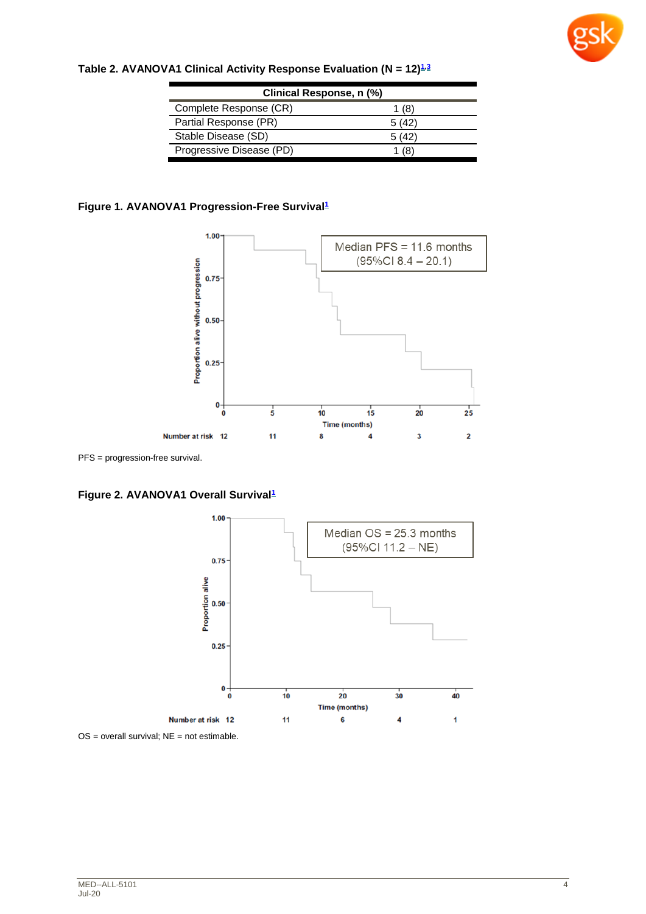

| Clinical Response, n (%) |       |  |  |  |  |
|--------------------------|-------|--|--|--|--|
| Complete Response (CR)   | 1 (8) |  |  |  |  |
| Partial Response (PR)    | 5(42) |  |  |  |  |
| Stable Disease (SD)      | 5(42) |  |  |  |  |
| Progressive Disease (PD) | (8)   |  |  |  |  |

## **Table 2. AVANOVA1 Clinical Activity Response Evaluation (N = 12)[1,](#page-2-0)[3](#page-2-2)**

#### **Figure 1. AVANOVA1 Progression-Free Survival[1](#page-2-0)**



PFS = progression-free survival.

**Figure 2. AVANOVA1 Overall Survival[1](#page-2-0)**



 $OS =$  overall survival;  $NE =$  not estimable.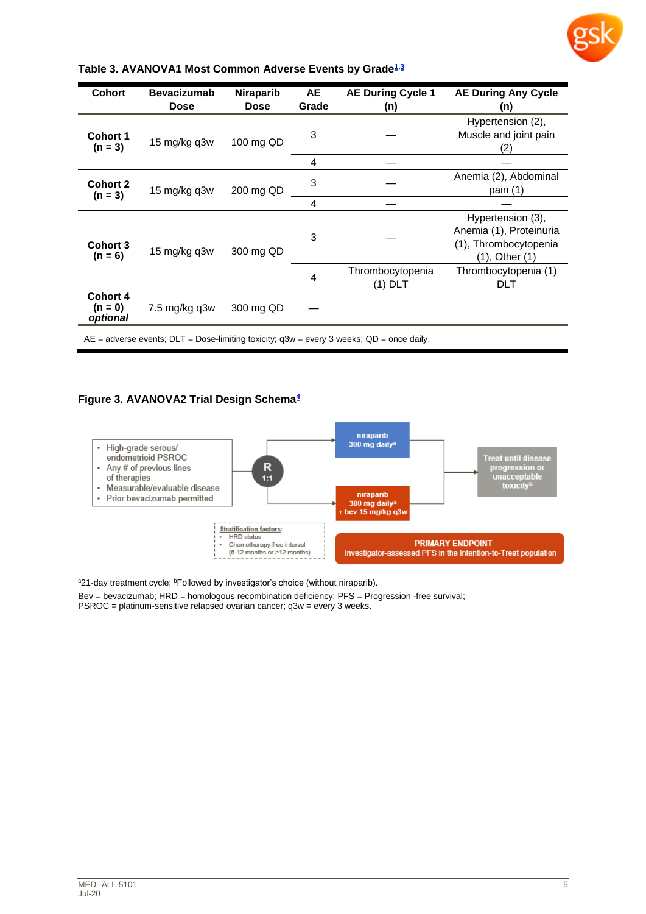

| <b>Cohort</b>                     | <b>Bevacizumab</b><br><b>Dose</b> | <b>Niraparib</b><br><b>Dose</b> | AE<br>Grade | <b>AE During Cycle 1</b><br>(n) | <b>AE During Any Cycle</b><br>(n)                                                            |   |                             |                                    |
|-----------------------------------|-----------------------------------|---------------------------------|-------------|---------------------------------|----------------------------------------------------------------------------------------------|---|-----------------------------|------------------------------------|
| <b>Cohort 1</b><br>$(n = 3)$      | 15 mg/kg q3w<br>100 mg QD         |                                 | 3           |                                 | Hypertension (2),<br>Muscle and joint pain<br>(2)                                            |   |                             |                                    |
|                                   |                                   |                                 | 4           |                                 |                                                                                              |   |                             |                                    |
| <b>Cohort 2</b>                   | 15 mg/kg q3w                      | 3<br>200 mg QD<br>4             |             |                                 | Anemia (2), Abdominal<br>pain $(1)$                                                          |   |                             |                                    |
| $(n = 3)$                         |                                   |                                 |             |                                 |                                                                                              |   |                             |                                    |
| <b>Cohort 3</b><br>$(n = 6)$      | 15 mg/kg q3w<br>300 mg QD         |                                 | 3           |                                 | Hypertension (3),<br>Anemia (1), Proteinuria<br>(1), Thrombocytopenia<br>$(1)$ , Other $(1)$ |   |                             |                                    |
|                                   |                                   |                                 |             |                                 |                                                                                              | 4 | Thrombocytopenia<br>(1) DLT | Thrombocytopenia (1)<br><b>DLT</b> |
| Cohort 4<br>$(n = 0)$<br>optional | 7.5 mg/kg q3w                     | 300 mg QD                       |             |                                 |                                                                                              |   |                             |                                    |
|                                   |                                   |                                 |             |                                 |                                                                                              |   |                             |                                    |

#### **Table 3. AVANOVA1 Most Common Adverse Events by Grade[1,](#page-2-0)[3](#page-2-2)**

 $AE =$  adverse events;  $DLT =$  Dose-limiting toxicity;  $q3w =$  every 3 weeks;  $QD =$  once daily.

#### **Figure 3. AVANOVA2 Trial Design Schema[4](#page-2-3)**



a21-day treatment cycle; <sup>b</sup>Followed by investigator's choice (without niraparib).

Bev = bevacizumab; HRD = homologous recombination deficiency; PFS = Progression -free survival; PSROC = platinum-sensitive relapsed ovarian cancer; q3w = every 3 weeks.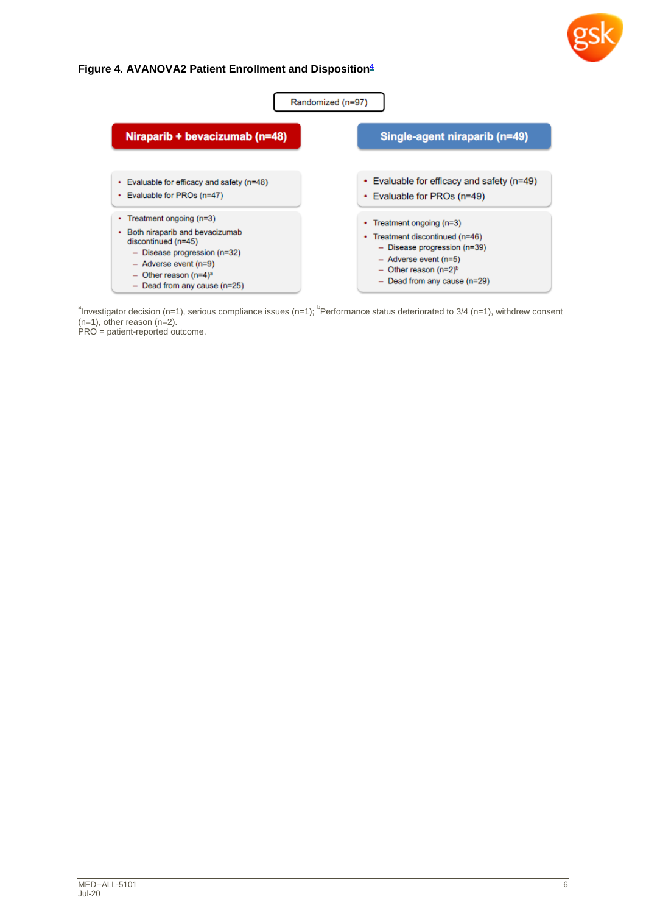

## **Figure 4. AVANOVA2 Patient Enrollment and Disposition[4](#page-2-3)**

| Randomized (n=97)                                                                                                                                                                                                    |                                                                                                                                                                                                  |  |  |  |  |
|----------------------------------------------------------------------------------------------------------------------------------------------------------------------------------------------------------------------|--------------------------------------------------------------------------------------------------------------------------------------------------------------------------------------------------|--|--|--|--|
| Niraparib + bevacizumab (n=48)                                                                                                                                                                                       | Single-agent niraparib (n=49)                                                                                                                                                                    |  |  |  |  |
| Evaluable for efficacy and safety (n=48)<br>Evaluable for PROs (n=47)                                                                                                                                                | • Evaluable for efficacy and safety (n=49)<br>• Evaluable for PROs (n=49)                                                                                                                        |  |  |  |  |
| Treatment ongoing (n=3)<br>Both niraparib and bevacizumab<br>discontinued (n=45)<br>$-$ Disease progression (n=32)<br>- Adverse event (n=9)<br>$-$ Other reason (n=4) <sup>a</sup><br>$-$ Dead from any cause (n=25) | • Treatment ongoing $(n=3)$<br>• Treatment discontinued (n=46)<br>$-$ Disease progression (n=39)<br>- Adverse event (n=5)<br>$-$ Other reason (n=2) <sup>b</sup><br>- Dead from any cause (n=29) |  |  |  |  |

 $n^2$ Investigator decision (n=1), serious compliance issues (n=1);  $n^2$ Performance status deteriorated to 3/4 (n=1), withdrew consent (n=1), other reason (n=2).

PRO = patient-reported outcome.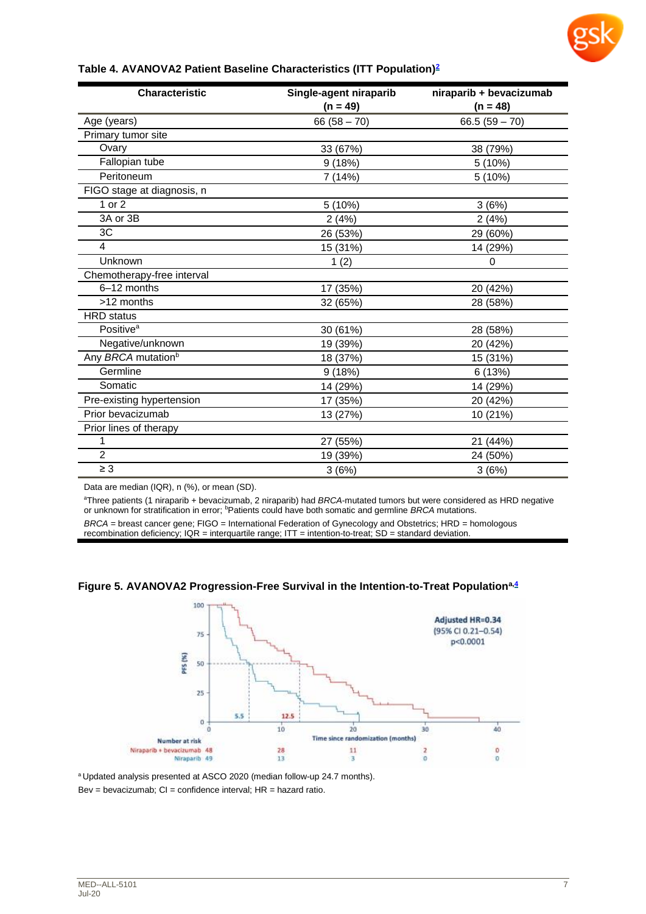

#### **Table 4. AVANOVA2 Patient Baseline Characteristics (ITT Population[\)](#page-2-1)<sup>2</sup>**

| <b>Characteristic</b>          | Single-agent niraparib | niraparib + bevacizumab |  |
|--------------------------------|------------------------|-------------------------|--|
|                                | $(n = 49)$             | $(n = 48)$              |  |
| Age (years)                    | $66(58 - 70)$          | $66.5(59 - 70)$         |  |
| Primary tumor site             |                        |                         |  |
| Ovary                          | 33 (67%)               | 38 (79%)                |  |
| Fallopian tube                 | 9(18%)                 | 5 (10%)                 |  |
| Peritoneum                     | 7 (14%)                | 5 (10%)                 |  |
| FIGO stage at diagnosis, n     |                        |                         |  |
| 1 or 2                         | 5 (10%)                | 3(6%)                   |  |
| 3A or 3B                       | 2(4%)                  | 2(4%)                   |  |
| 3C                             | 26 (53%)               | 29 (60%)                |  |
| 4                              | 15 (31%)               | 14 (29%)                |  |
| Unknown                        | 1(2)                   | 0                       |  |
| Chemotherapy-free interval     |                        |                         |  |
| 6-12 months                    | 17 (35%)               | 20 (42%)                |  |
| >12 months                     | 32 (65%)               | 28 (58%)                |  |
| <b>HRD</b> status              |                        |                         |  |
| Positive <sup>a</sup>          | 30 (61%)               | 28 (58%)                |  |
| Negative/unknown               | 19 (39%)               | 20 (42%)                |  |
| Any BRCA mutation <sup>b</sup> | 18 (37%)               | 15 (31%)                |  |
| Germline                       | 9(18%)                 | 6(13%)                  |  |
| Somatic                        | 14 (29%)               | 14 (29%)                |  |
| Pre-existing hypertension      | 17 (35%)               | 20 (42%)                |  |
| Prior bevacizumab              | 13 (27%)               | 10 (21%)                |  |
| Prior lines of therapy         |                        |                         |  |
| 1                              | 27 (55%)               | 21 (44%)                |  |
| $\overline{2}$                 | 19 (39%)               | 24 (50%)                |  |
| $\geq 3$                       | 3(6%)                  | 3(6%)                   |  |

Data are median (IQR), n (%), or mean (SD).

<sup>a</sup>Three patients (1 niraparib + bevacizumab, 2 niraparib) had *BRCA*-mutated tumors but were considered as HRD negative or unknown for stratification in error; <sup>b</sup>Patients could have both somatic and germline *BRCA* mutations.

*BRCA* = breast cancer gene; FIGO = International Federation of Gynecology and Obstetrics; HRD = homologous recombination deficiency; IQR = interquartile range; ITT = intention-to-treat; SD = standard deviation.





<sup>a</sup> Updated analysis presented at ASCO 2020 (median follow-up 24.7 months).  $Bev = bevacizumab$ ;  $Cl =$  confidence interval;  $HR =$  hazard ratio.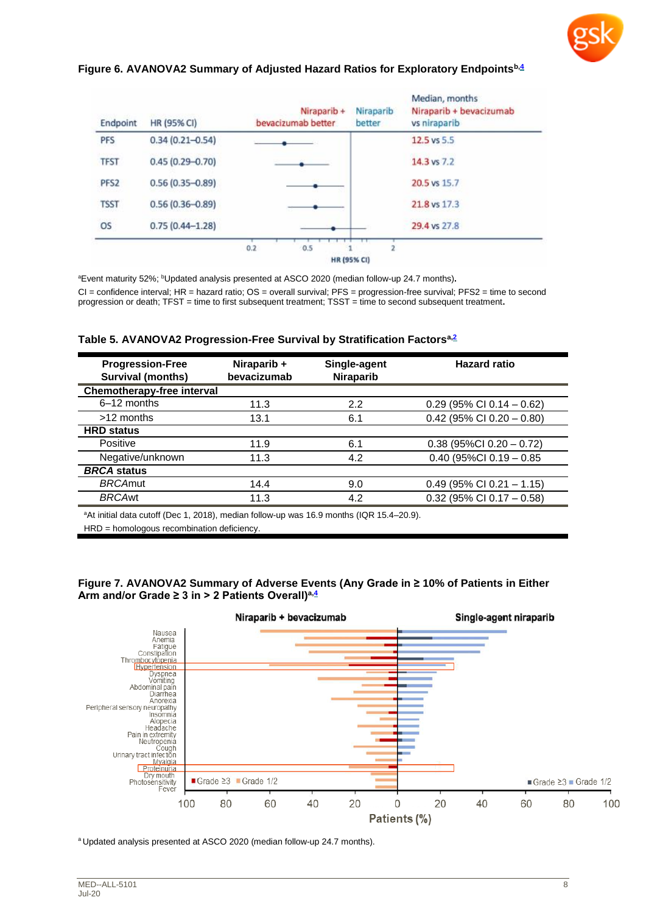

#### **Figure 6. AVANOVA2 Summary of Adjusted Hazard Ratios for Exploratory Endpoints[b,4](#page-2-3)**

| Endpoint         | HR (95% CI)         | Niraparib +<br>bevacizumab better | Niraparib<br>better | Median, months<br>Niraparib + bevacizumab<br>vs niraparib |
|------------------|---------------------|-----------------------------------|---------------------|-----------------------------------------------------------|
| <b>PFS</b>       | $0.34(0.21 - 0.54)$ |                                   |                     | 12.5 vs 5.5                                               |
| <b>TFST</b>      | $0.45(0.29 - 0.70)$ |                                   |                     | 14.3 vs 7.2                                               |
| PFS <sub>2</sub> | $0.56(0.35 - 0.89)$ |                                   |                     | 20.5 vs 15.7                                              |
| <b>TSST</b>      | $0.56(0.36 - 0.89)$ |                                   |                     | 21.8 vs 17.3                                              |
| <b>OS</b>        | $0.75(0.44 - 1.28)$ |                                   |                     | 29.4 vs 27.8                                              |

<sup>a</sup>Event maturity 52%; <sup>b</sup>Updated analysis presented at ASCO 2020 (median follow-up 24.7 months).

CI = confidence interval; HR = hazard ratio; OS = overall survival; PFS = progression-free survival; PFS2 = time to second progression or death; TFST = time to first subsequent treatment; TSST = time to second subsequent treatment**.**

|  | Table 5. AVANOVA2 Progression-Free Survival by Stratification Factors <sup>a,2</sup> |  |  |
|--|--------------------------------------------------------------------------------------|--|--|
|  |                                                                                      |  |  |

| <b>Progression-Free</b><br><b>Survival (months)</b> | Niraparib +<br>bevacizumab | Single-agent<br><b>Niraparib</b> | <b>Hazard ratio</b>           |
|-----------------------------------------------------|----------------------------|----------------------------------|-------------------------------|
| <b>Chemotherapy-free interval</b>                   |                            |                                  |                               |
| 6-12 months                                         | 11.3                       | 2.2                              | $0.29$ (95% CI 0.14 - 0.62)   |
| >12 months                                          | 13.1                       | 6.1                              | $0.42$ (95% CI 0.20 - 0.80)   |
| <b>HRD status</b>                                   |                            |                                  |                               |
| Positive                                            | 11.9                       | 6.1                              | $0.38$ (95%Cl $0.20 - 0.72$ ) |
| Negative/unknown                                    | 11.3                       | 4.2                              | $0.40$ (95%Cl $0.19 - 0.85$   |
| <b>BRCA</b> status                                  |                            |                                  |                               |
| <b>BRCAmut</b>                                      | 14.4                       | 9.0                              | $0.49$ (95% CI 0.21 - 1.15)   |
| <b>BRCAwt</b>                                       | 11.3                       | 4.2                              | $0.32$ (95% CI 0.17 - 0.58)   |

<sup>a</sup>At initial data cutoff (Dec 1, 2018), median follow-up was 16.9 months (IQR 15.4–20.9). HRD = homologous recombination deficiency.

**Figure 7. AVANOVA2 Summary of Adverse Events (Any Grade in ≥ 10% of Patients in Either Arm and/or Grade ≥ 3 in > 2 Patients Overall) [a,4](#page-2-3)**



a Updated analysis presented at ASCO 2020 (median follow-up 24.7 months).